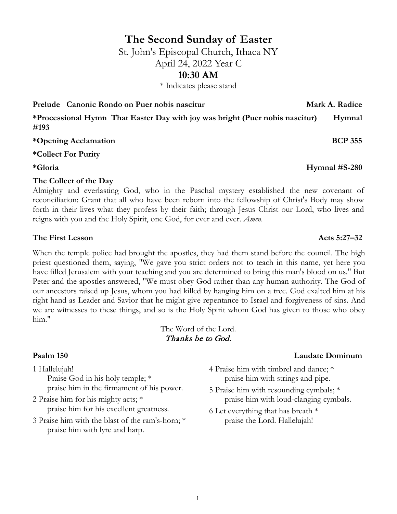# **The Second Sunday of Easter**

St. John's Episcopal Church, Ithaca NY April 24, 2022 Year C

## **10:30 AM**

\* Indicates please stand

**\*Processional Hymn That Easter Day with joy was bright (Puer nobis nascitur) Hymnal #193**

**\*Opening Acclamation BCP 355**

**\*Collect For Purity**

**\*Gloria Hymnal #S-280**

## **The Collect of the Day**

Almighty and everlasting God, who in the Paschal mystery established the new covenant of reconciliation: Grant that all who have been reborn into the fellowship of Christ's Body may show forth in their lives what they profess by their faith; through Jesus Christ our Lord, who lives and reigns with you and the Holy Spirit, one God, for ever and ever. *Amen.*

## The First Lesson **Acts** 5:27–32

When the temple police had brought the apostles, they had them stand before the council. The high priest questioned them, saying, "We gave you strict orders not to teach in this name, yet here you have filled Jerusalem with your teaching and you are determined to bring this man's blood on us." But Peter and the apostles answered, "We must obey God rather than any human authority. The God of our ancestors raised up Jesus, whom you had killed by hanging him on a tree. God exalted him at his right hand as Leader and Savior that he might give repentance to Israel and forgiveness of sins. And we are witnesses to these things, and so is the Holy Spirit whom God has given to those who obey him."

The Word of the Lord. Thanks be to God.

1 Hallelujah! Praise God in his holy temple; \* praise him in the firmament of his power.

2 Praise him for his mighty acts; \* praise him for his excellent greatness.

3 Praise him with the blast of the ram's-horn; \* praise him with lyre and harp.

## **Psalm 150 Laudate Dominum**

- 4 Praise him with timbrel and dance; \* praise him with strings and pipe.
- 5 Praise him with resounding cymbals; \* praise him with loud-clanging cymbals.
- 6 Let everything that has breath \* praise the Lord. Hallelujah!

**Prelude Canonic Rondo on Puer nobis nascitur metallicity of Mark A. Radice**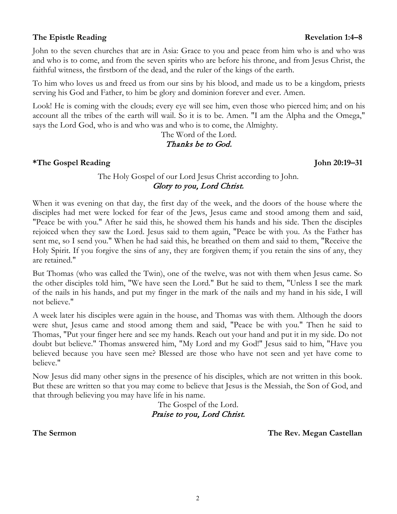## **The Epistle Reading Revelation 1:4–8**

John to the seven churches that are in Asia: Grace to you and peace from him who is and who was and who is to come, and from the seven spirits who are before his throne, and from Jesus Christ, the faithful witness, the firstborn of the dead, and the ruler of the kings of the earth.

To him who loves us and freed us from our sins by his blood, and made us to be a kingdom, priests serving his God and Father, to him be glory and dominion forever and ever. Amen.

Look! He is coming with the clouds; every eye will see him, even those who pierced him; and on his account all the tribes of the earth will wail. So it is to be. Amen. "I am the Alpha and the Omega," says the Lord God, who is and who was and who is to come, the Almighty.

> The Word of the Lord. Thanks be to God.

**\*The Gospel Reading John 20:19–31**

## The Holy Gospel of our Lord Jesus Christ according to John. Glory to you, Lord Christ.

When it was evening on that day, the first day of the week, and the doors of the house where the disciples had met were locked for fear of the Jews, Jesus came and stood among them and said, "Peace be with you." After he said this, he showed them his hands and his side. Then the disciples rejoiced when they saw the Lord. Jesus said to them again, "Peace be with you. As the Father has sent me, so I send you." When he had said this, he breathed on them and said to them, "Receive the Holy Spirit. If you forgive the sins of any, they are forgiven them; if you retain the sins of any, they are retained."

But Thomas (who was called the Twin), one of the twelve, was not with them when Jesus came. So the other disciples told him, "We have seen the Lord." But he said to them, "Unless I see the mark of the nails in his hands, and put my finger in the mark of the nails and my hand in his side, I will not believe."

A week later his disciples were again in the house, and Thomas was with them. Although the doors were shut, Jesus came and stood among them and said, "Peace be with you." Then he said to Thomas, "Put your finger here and see my hands. Reach out your hand and put it in my side. Do not doubt but believe." Thomas answered him, "My Lord and my God!" Jesus said to him, "Have you believed because you have seen me? Blessed are those who have not seen and yet have come to believe."

Now Jesus did many other signs in the presence of his disciples, which are not written in this book. But these are written so that you may come to believe that Jesus is the Messiah, the Son of God, and that through believing you may have life in his name.

> The Gospel of the Lord. Praise to you, Lord Christ.

**The Sermon The Rev. Megan Castellan**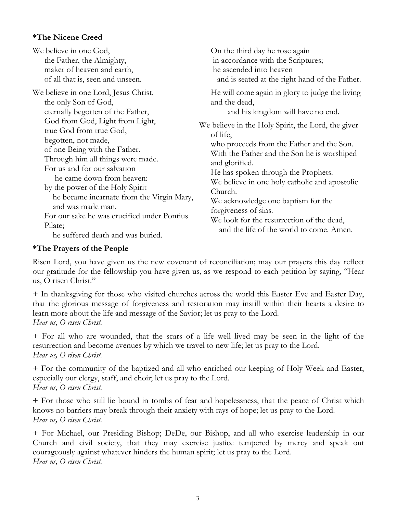## **\*The Nicene Creed**

| We believe in one God,                                                                                                                                                    | On the third day he rose again                                                                                                                          |
|---------------------------------------------------------------------------------------------------------------------------------------------------------------------------|---------------------------------------------------------------------------------------------------------------------------------------------------------|
| the Father, the Almighty,                                                                                                                                                 | in accordance with the Scriptures;                                                                                                                      |
| maker of heaven and earth,                                                                                                                                                | he ascended into heaven                                                                                                                                 |
| of all that is, seen and unseen.<br>We believe in one Lord, Jesus Christ,<br>the only Son of God,<br>eternally begotten of the Father,<br>God from God, Light from Light, | and is seated at the right hand of the Father.<br>He will come again in glory to judge the living<br>and the dead,<br>and his kingdom will have no end. |
| true God from true God,                                                                                                                                                   | We believe in the Holy Spirit, the Lord, the giver                                                                                                      |
| begotten, not made,                                                                                                                                                       | of life,                                                                                                                                                |
| of one Being with the Father.                                                                                                                                             | who proceeds from the Father and the Son.                                                                                                               |
| Through him all things were made.                                                                                                                                         | With the Father and the Son he is worshiped                                                                                                             |
| For us and for our salvation                                                                                                                                              | and glorified.                                                                                                                                          |
| he came down from heaven:                                                                                                                                                 | He has spoken through the Prophets.                                                                                                                     |
| by the power of the Holy Spirit                                                                                                                                           | We believe in one holy catholic and apostolic                                                                                                           |
| he became incarnate from the Virgin Mary,                                                                                                                                 | Church.                                                                                                                                                 |
| and was made man.                                                                                                                                                         | We acknowledge one baptism for the                                                                                                                      |
| For our sake he was crucified under Pontius                                                                                                                               | forgiveness of sins.                                                                                                                                    |
| Pilate;                                                                                                                                                                   | We look for the resurrection of the dead,                                                                                                               |
| he suffered death and was buried.                                                                                                                                         | and the life of the world to come. Amen.                                                                                                                |

## **\*The Prayers of the People**

Risen Lord, you have given us the new covenant of reconciliation; may our prayers this day reflect our gratitude for the fellowship you have given us, as we respond to each petition by saying, "Hear us, O risen Christ."

+ In thanksgiving for those who visited churches across the world this Easter Eve and Easter Day, that the glorious message of forgiveness and restoration may instill within their hearts a desire to learn more about the life and message of the Savior; let us pray to the Lord. *Hear us, O risen Christ.* 

+ For all who are wounded, that the scars of a life well lived may be seen in the light of the resurrection and become avenues by which we travel to new life; let us pray to the Lord. *Hear us, O risen Christ.* 

+ For the community of the baptized and all who enriched our keeping of Holy Week and Easter, especially our clergy, staff, and choir; let us pray to the Lord. *Hear us, O risen Christ.* 

+ For those who still lie bound in tombs of fear and hopelessness, that the peace of Christ which knows no barriers may break through their anxiety with rays of hope; let us pray to the Lord. *Hear us, O risen Christ.* 

+ For Michael, our Presiding Bishop; DeDe, our Bishop, and all who exercise leadership in our Church and civil society, that they may exercise justice tempered by mercy and speak out courageously against whatever hinders the human spirit; let us pray to the Lord. *Hear us, O risen Christ.*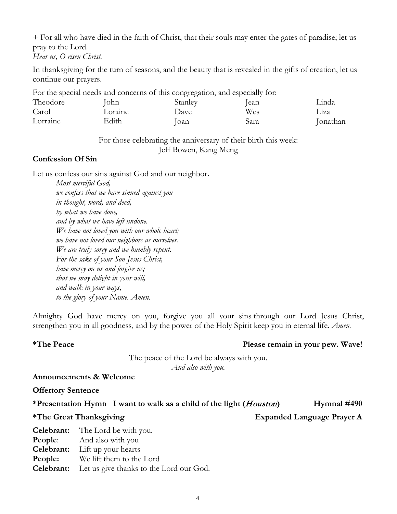+ For all who have died in the faith of Christ, that their souls may enter the gates of paradise; let us pray to the Lord.

*Hear us, O risen Christ.* 

In thanksgiving for the turn of seasons, and the beauty that is revealed in the gifts of creation, let us continue our prayers.

For the special needs and concerns of this congregation, and especially for:

| Theodore | ohn     | Stanlev | . .<br>Iean | .1nda    |
|----------|---------|---------|-------------|----------|
| Carol    | _oraine | Dave    | Wes         | L1Za     |
| Lorraine | Edith   | Ioan    | Sara        | Jonathan |

For those celebrating the anniversary of their birth this week: Jeff Bowen, Kang Meng

## **Confession Of Sin**

Let us confess our sins against God and our neighbor.

*Most merciful God, we confess that we have sinned against you in thought, word, and deed, by what we have done, and by what we have left undone. We have not loved you with our whole heart; we have not loved our neighbors as ourselves. We are truly sorry and we humbly repent. For the sake of your Son Jesus Christ, have mercy on us and forgive us; that we may delight in your will, and walk in your ways, to the glory of your Name. Amen.*

Almighty God have mercy on you, forgive you all your sins through our Lord Jesus Christ, strengthen you in all goodness, and by the power of the Holy Spirit keep you in eternal life. *Amen.*

#### **\*The Peace Please remain in your pew. Wave!**

The peace of the Lord be always with you. *And also with you.*

#### **Announcements & Welcome**

**Offertory Sentence** 

\*Presentation Hymn I want to walk as a child of the light (*Houston*) Hymnal #490

#### **\*The Great Thanksgiving Expanded Language Prayer A**

**Celebrant:** The Lord be with you. **People:** And also with you **Celebrant:** Lift up your hearts **People:** We lift them to the Lord **Celebrant:** Let us give thanks to the Lord our God.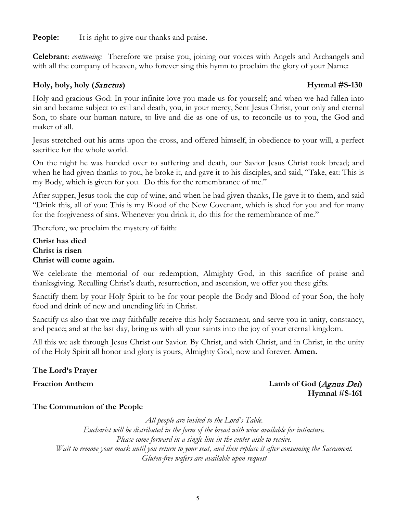**People:** It is right to give our thanks and praise.

**Celebrant**: *continuing:* Therefore we praise you, joining our voices with Angels and Archangels and with all the company of heaven, who forever sing this hymn to proclaim the glory of your Name:

## **Holy, holy, holy (**Sanctus**) Hymnal #S-130**

Holy and gracious God: In your infinite love you made us for yourself; and when we had fallen into sin and became subject to evil and death, you, in your mercy, Sent Jesus Christ, your only and eternal Son, to share our human nature, to live and die as one of us, to reconcile us to you, the God and maker of all.

Jesus stretched out his arms upon the cross, and offered himself, in obedience to your will, a perfect sacrifice for the whole world.

On the night he was handed over to suffering and death, our Savior Jesus Christ took bread; and when he had given thanks to you, he broke it, and gave it to his disciples, and said, "Take, eat: This is my Body, which is given for you. Do this for the remembrance of me."

After supper, Jesus took the cup of wine; and when he had given thanks, He gave it to them, and said "Drink this, all of you: This is my Blood of the New Covenant, which is shed for you and for many for the forgiveness of sins. Whenever you drink it, do this for the remembrance of me."

Therefore, we proclaim the mystery of faith:

**Christ has died Christ is risen Christ will come again.**

We celebrate the memorial of our redemption, Almighty God, in this sacrifice of praise and thanksgiving. Recalling Christ's death, resurrection, and ascension, we offer you these gifts.

Sanctify them by your Holy Spirit to be for your people the Body and Blood of your Son, the holy food and drink of new and unending life in Christ.

Sanctify us also that we may faithfully receive this holy Sacrament, and serve you in unity, constancy, and peace; and at the last day, bring us with all your saints into the joy of your eternal kingdom.

All this we ask through Jesus Christ our Savior. By Christ, and with Christ, and in Christ, in the unity of the Holy Spirit all honor and glory is yours, Almighty God, now and forever. **Amen.**

## **The Lord's Prayer**

## **Fraction Anthem Lamb of God (**Agnus Dei**) Hymnal #S-161**

## **The Communion of the People**

*All people are invited to the Lord's Table.*

*Eucharist will be distributed in the form of the bread with wine available for intincture.*

*Please come forward in a single line in the center aisle to receive.*

*Wait to remove your mask until you return to your seat, and then replace it after consuming the Sacrament. Gluten-free wafers are available upon request*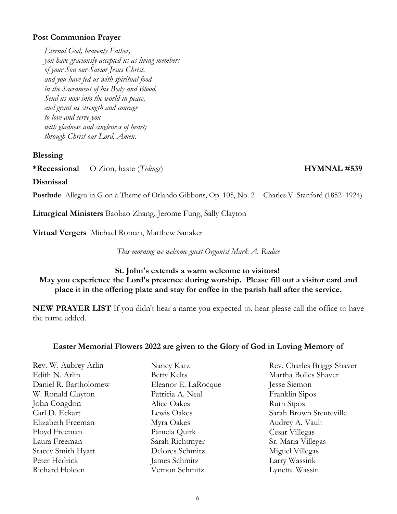## **Post Communion Prayer**

*Eternal God, heavenly Father, you have graciously accepted us as living members of your Son our Savior Jesus Christ, and you have fed us with spiritual food in the Sacrament of his Body and Blood. Send us now into the world in peace, and grant us strength and courage to love and serve you with gladness and singleness of heart; through Christ our Lord. Amen*.

#### **Blessing**

**\*Recessional** O Zion, haste (*Tidings*) **HYMNAL #539**

**Dismissal**

**Postlude** Allegro in G on a Theme of Orlando Gibbons, Op. 105, No. 2 Charles V. Stanford (1852–1924)

**Liturgical Ministers** Baobao Zhang, Jerome Fung, Sally Clayton

**Virtual Vergers** Michael Roman, Matthew Sanaker

*This morning we welcome guest Organist Mark A. Radice*

## **St. John's extends a warm welcome to visitors! May you experience the Lord's presence during worship. Please fill out a visitor card and place it in the offering plate and stay for coffee in the parish hall after the service.**

**NEW PRAYER LIST** If you didn't hear a name you expected to, hear please call the office to have the name added.

## **Easter Memorial Flowers 2022 are given to the Glory of God in Loving Memory of**

Rev. W. Aubrey Arlin Edith N. Arlin Daniel R. Bartholomew W. Ronald Clayton John Congdon Carl D. Eckart Elizabeth Freeman Floyd Freeman Laura Freeman Stacey Smith Hyatt Peter Hedrick Richard Holden

Nancy Katz Betty Kelts Eleanor E. LaRocque Patricia A. Neal Alice Oakes Lewis Oakes Myra Oakes Pamela Quirk Sarah Richtmyer Delores Schmitz James Schmitz Vernon Schmitz

Rev. Charles Briggs Shaver Martha Bolles Shaver Jesse Siemon Franklin Sipos Ruth Sipos Sarah Brown Steuteville Audrey A. Vault Cesar Villegas Sr. Maria Villegas Miguel Villegas Larry Wassink Lynette Wassin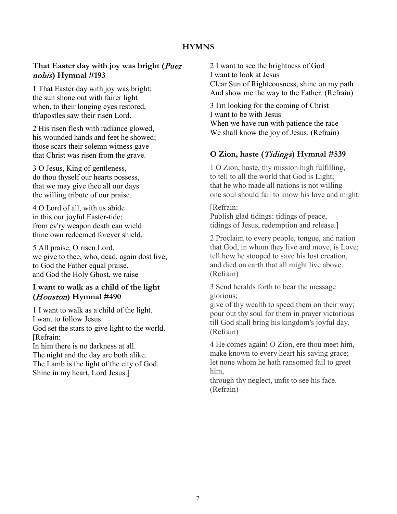## **HYMNS**

## **That Easter day with joy was bright (**Puer nobis**) Hymnal #193**

1 That Easter day with joy was bright: the sun shone out with fairer light when, to their longing eyes restored, th'apostles saw their risen Lord.

2 His risen flesh with radiance glowed, his wounded hands and feet he showed; those scars their solemn witness gave that Christ was risen from the grave.

3 O Jesus, King of gentleness, do thou thyself our hearts possess, that we may give thee all our days the willing tribute of our praise.

4 O Lord of all, with us abide in this our joyful Easter-tide; from ev'ry weapon death can wield thine own redeemed forever shield.

5 All praise, O risen Lord, we give to thee, who, dead, again dost live; to God the Father equal praise, and God the Holy Ghost, we raise

## **I want to walk as a child of the light (**Houston**) Hymnal #490**

1 I want to walk as a child of the light. I want to follow Jesus. God set the stars to give light to the world. [Refrain: In him there is no darkness at all. The night and the day are both alike. The Lamb is the light of the city of God. Shine in my heart, Lord Jesus.]

2 I want to see the brightness of God I want to look at Jesus Clear Sun of Righteousness, shine on my path And show me the way to the Father. (Refrain)

3 I'm looking for the coming of Christ I want to be with Jesus When we have run with patience the race We shall know the joy of Jesus. (Refrain)

## **O Zion, haste (**Tidings**) Hymnal #539**

1 O Zion, haste, thy mission high fulfilling, to tell to all the world that God is Light; that he who made all nations is not willing one soul should fail to know his love and might.

[Refrain: Publish glad tidings: tidings of peace, tidings of Jesus, redemption and release.]

2 Proclaim to every people, tongue, and nation that God, in whom they live and move, is Love; tell how he stooped to save his lost creation, and died on earth that all might live above. (Refrain)

3 Send heralds forth to bear the message glorious;

give of thy wealth to speed them on their way; pour out thy soul for them in prayer victorious till God shall bring his kingdom's joyful day. (Refrain)

4 He comes again! O Zion, ere thou meet him, make known to every heart his saving grace; let none whom he hath ransomed fail to greet him,

through thy neglect, unfit to see his face. (Refrain)